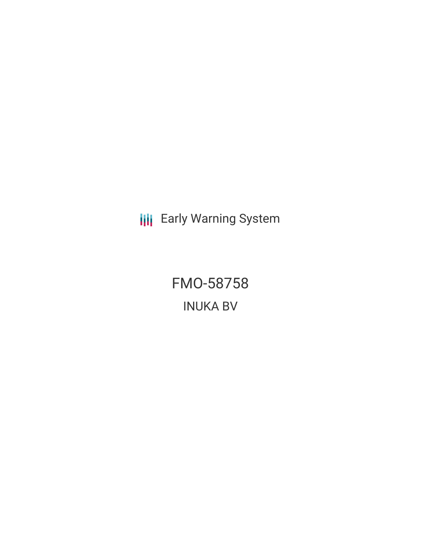**III** Early Warning System

FMO-58758 INUKA BV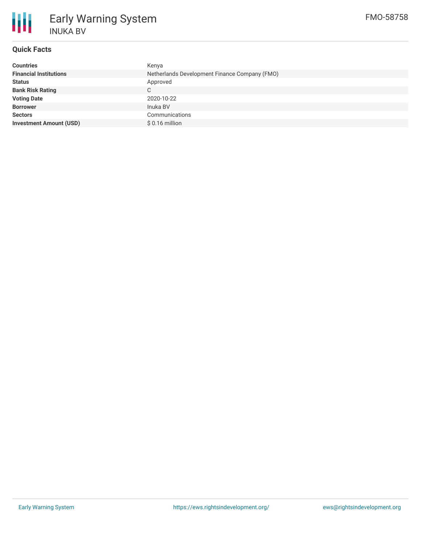

# **Quick Facts**

| Kenya                                         |
|-----------------------------------------------|
| Netherlands Development Finance Company (FMO) |
| Approved                                      |
| C.                                            |
| 2020-10-22                                    |
| Inuka BV                                      |
| Communications                                |
| $$0.16$ million                               |
|                                               |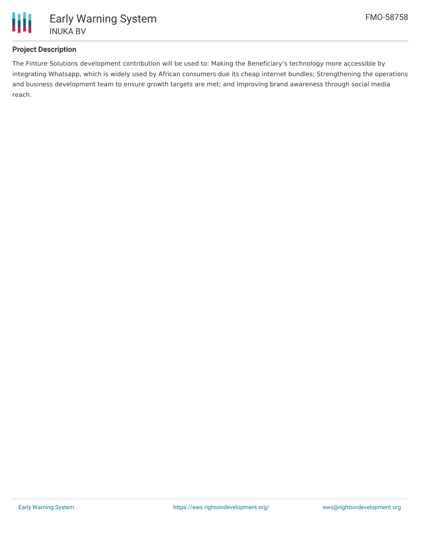

## **Project Description**

The Finture Solutions development contribution will be used to: Making the Beneficiary's technology more accessible by integrating Whatsapp, which is widely used by African consumers due its cheap internet bundles; Strengthening the operations and business development team to ensure growth targets are met; and Improving brand awareness through social media reach.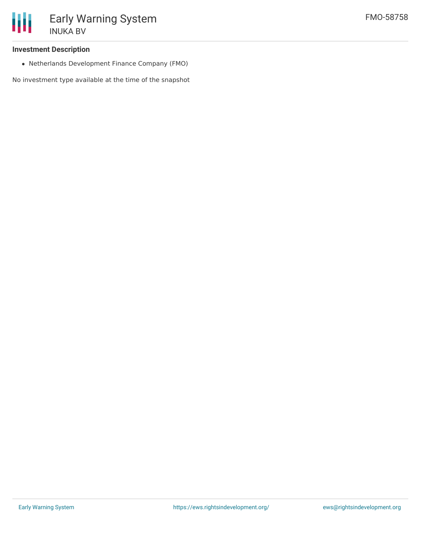#### **Investment Description**

Netherlands Development Finance Company (FMO)

No investment type available at the time of the snapshot